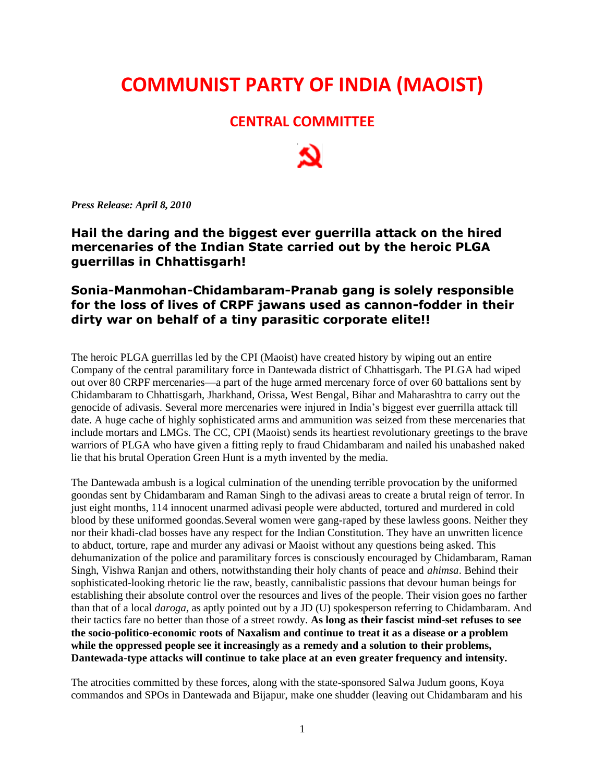## **COMMUNIST PARTY OF INDIA (MAOIST)**

## **CENTRAL COMMITTEE**

*Press Release: April 8, 2010*

**Hail the daring and the biggest ever guerrilla attack on the hired mercenaries of the Indian State carried out by the heroic PLGA guerrillas in Chhattisgarh!**

## **Sonia-Manmohan-Chidambaram-Pranab gang is solely responsible for the loss of lives of CRPF jawans used as cannon-fodder in their dirty war on behalf of a tiny parasitic corporate elite!!**

The heroic PLGA guerrillas led by the CPI (Maoist) have created history by wiping out an entire Company of the central paramilitary force in Dantewada district of Chhattisgarh. The PLGA had wiped out over 80 CRPF mercenaries—a part of the huge armed mercenary force of over 60 battalions sent by Chidambaram to Chhattisgarh, Jharkhand, Orissa, West Bengal, Bihar and Maharashtra to carry out the genocide of adivasis. Several more mercenaries were injured in India's biggest ever guerrilla attack till date. A huge cache of highly sophisticated arms and ammunition was seized from these mercenaries that include mortars and LMGs. The CC, CPI (Maoist) sends its heartiest revolutionary greetings to the brave warriors of PLGA who have given a fitting reply to fraud Chidambaram and nailed his unabashed naked lie that his brutal Operation Green Hunt is a myth invented by the media.

The Dantewada ambush is a logical culmination of the unending terrible provocation by the uniformed goondas sent by Chidambaram and Raman Singh to the adivasi areas to create a brutal reign of terror. In just eight months, 114 innocent unarmed adivasi people were abducted, tortured and murdered in cold blood by these uniformed goondas*.*Several women were gang-raped by these lawless goons. Neither they nor their khadi-clad bosses have any respect for the Indian Constitution. They have an unwritten licence to abduct, torture, rape and murder any adivasi or Maoist without any questions being asked. This dehumanization of the police and paramilitary forces is consciously encouraged by Chidambaram, Raman Singh, Vishwa Ranjan and others, notwithstanding their holy chants of peace and *ahimsa*. Behind their sophisticated-looking rhetoric lie the raw, beastly, cannibalistic passions that devour human beings for establishing their absolute control over the resources and lives of the people. Their vision goes no farther than that of a local *daroga,* as aptly pointed out by a JD (U) spokesperson referring to Chidambaram. And their tactics fare no better than those of a street rowdy. **As long as their fascist mind-set refuses to see the socio-politico-economic roots of Naxalism and continue to treat it as a disease or a problem while the oppressed people see it increasingly as a remedy and a solution to their problems, Dantewada-type attacks will continue to take place at an even greater frequency and intensity.**

The atrocities committed by these forces, along with the state-sponsored Salwa Judum goons, Koya commandos and SPOs in Dantewada and Bijapur, make one shudder (leaving out Chidambaram and his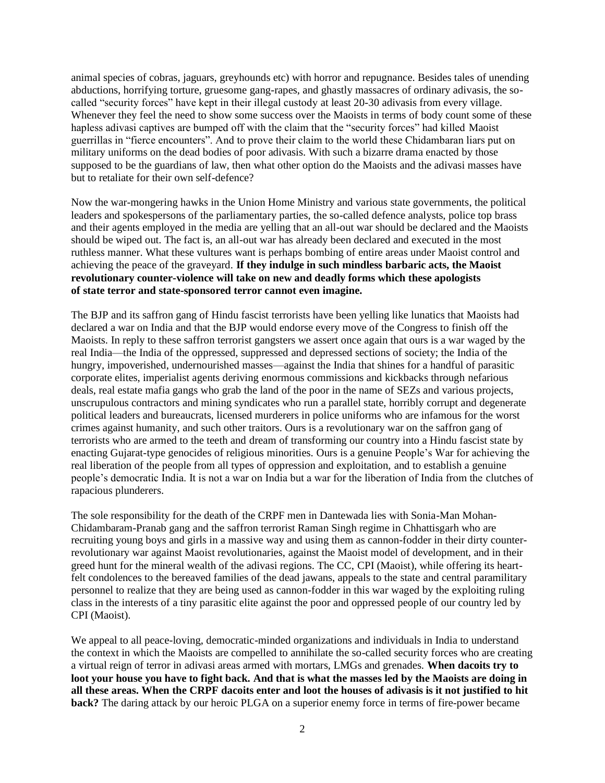animal species of cobras, jaguars, greyhounds etc) with horror and repugnance. Besides tales of unending abductions, horrifying torture, gruesome gang-rapes, and ghastly massacres of ordinary adivasis, the socalled "security forces" have kept in their illegal custody at least 20-30 adivasis from every village. Whenever they feel the need to show some success over the Maoists in terms of body count some of these hapless adivasi captives are bumped off with the claim that the "security forces" had killed Maoist guerrillas in "fierce encounters". And to prove their claim to the world these Chidambaran liars put on military uniforms on the dead bodies of poor adivasis. With such a bizarre drama enacted by those supposed to be the guardians of law, then what other option do the Maoists and the adivasi masses have but to retaliate for their own self-defence?

Now the war-mongering hawks in the Union Home Ministry and various state governments, the political leaders and spokespersons of the parliamentary parties, the so-called defence analysts, police top brass and their agents employed in the media are yelling that an all-out war should be declared and the Maoists should be wiped out. The fact is, an all-out war has already been declared and executed in the most ruthless manner. What these vultures want is perhaps bombing of entire areas under Maoist control and achieving the peace of the graveyard. **If they indulge in such mindless barbaric acts, the Maoist revolutionary counter-violence will take on new and deadly forms which these apologists of state terror and state-sponsored terror cannot even imagine.**

The BJP and its saffron gang of Hindu fascist terrorists have been yelling like lunatics that Maoists had declared a war on India and that the BJP would endorse every move of the Congress to finish off the Maoists. In reply to these saffron terrorist gangsters we assert once again that ours is a war waged by the real India—the India of the oppressed, suppressed and depressed sections of society; the India of the hungry, impoverished, undernourished masses—against the India that shines for a handful of parasitic corporate elites, imperialist agents deriving enormous commissions and kickbacks through nefarious deals, real estate mafia gangs who grab the land of the poor in the name of SEZs and various projects, unscrupulous contractors and mining syndicates who run a parallel state, horribly corrupt and degenerate political leaders and bureaucrats, licensed murderers in police uniforms who are infamous for the worst crimes against humanity, and such other traitors. Ours is a revolutionary war on the saffron gang of terrorists who are armed to the teeth and dream of transforming our country into a Hindu fascist state by enacting Gujarat-type genocides of religious minorities. Ours is a genuine People's War for achieving the real liberation of the people from all types of oppression and exploitation, and to establish a genuine people's democratic India. It is not a war on India but a war for the liberation of India from the clutches of rapacious plunderers.

The sole responsibility for the death of the CRPF men in Dantewada lies with Sonia-Man Mohan-Chidambaram-Pranab gang and the saffron terrorist Raman Singh regime in Chhattisgarh who are recruiting young boys and girls in a massive way and using them as cannon-fodder in their dirty counterrevolutionary war against Maoist revolutionaries, against the Maoist model of development, and in their greed hunt for the mineral wealth of the adivasi regions. The CC, CPI (Maoist), while offering its heartfelt condolences to the bereaved families of the dead jawans, appeals to the state and central paramilitary personnel to realize that they are being used as cannon-fodder in this war waged by the exploiting ruling class in the interests of a tiny parasitic elite against the poor and oppressed people of our country led by CPI (Maoist).

We appeal to all peace-loving, democratic-minded organizations and individuals in India to understand the context in which the Maoists are compelled to annihilate the so-called security forces who are creating a virtual reign of terror in adivasi areas armed with mortars, LMGs and grenades. **When dacoits try to loot your house you have to fight back. And that is what the masses led by the Maoists are doing in all these areas. When the CRPF dacoits enter and loot the houses of adivasis is it not justified to hit back?** The daring attack by our heroic PLGA on a superior enemy force in terms of fire-power became